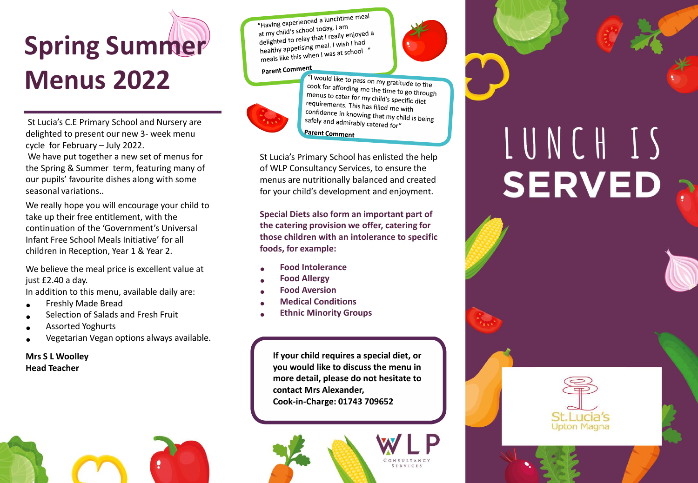## **Spring Summer Menus 2022**

St Lucia's C.E Primary School and Nursery are delighted to present our new 3- week menu cycle for February – July 2022.

We have put together a new set of menus for the Spring & Summer term, featuring many of our pupils' favourite dishes along with some seasonal variations..

We really hope you will encourage your child to take up their free entitlement, with the continuation of the 'Government's Universal Infant Free School Meals Initiative' for all children in Reception, Year 1 & Year 2.

We believe the meal price is excellent value at just £2.40 a day.

In addition to this menu, available daily are:

- Freshly Made Bread
- Selection of Salads and Fresh Fruit
- Assorted Yoghurts
- Vegetarian Vegan options always available.

## **Mrs S L Woolley Head Teacher**



## Parent Comment



"I would like to pass on my gratitude to the cook for affording me the time to go through<br>menus to cater for my child's menus to cater for my child's specific diet<br>requirements. This has fill in the requirements requirements. This has filled me with confidence in knowing that my child is being<br>safely and admirably set. safely and admirably catered for" **Parent Comment** 

St Lucia's Primary School has enlisted the help of WLP Consultancy Services, to ensure the menus are nutritionally balanced and created for your child's development and enjoyment.

**Special Diets also form an important part of the catering provision we offer, catering for those children with an intolerance to specific foods, for example:**

- **Food Intolerance**
- **Food Allergy**
- **Food Aversion**
- **Medical Conditions**
- **Ethnic Minority Groups**

**If your child requires a special diet, or you would like to discuss the menu in more detail, please do not hesitate to contact Mrs Alexander, Cook-in-Charge: 01743 709652**





## LUNCH IS **SERVED**